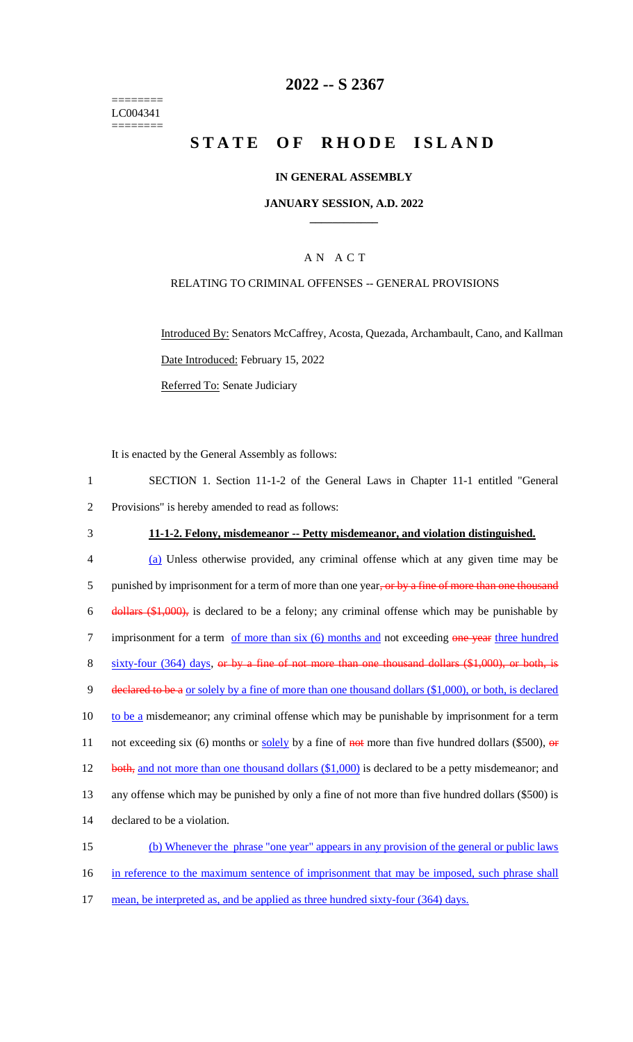======== LC004341  $=$ 

## **2022 -- S 2367**

# **STATE OF RHODE ISLAND**

## **IN GENERAL ASSEMBLY**

### **JANUARY SESSION, A.D. 2022 \_\_\_\_\_\_\_\_\_\_\_\_**

## A N A C T

## RELATING TO CRIMINAL OFFENSES -- GENERAL PROVISIONS

Introduced By: Senators McCaffrey, Acosta, Quezada, Archambault, Cano, and Kallman Date Introduced: February 15, 2022 Referred To: Senate Judiciary

It is enacted by the General Assembly as follows:

|                                                     | SECTION 1. Section 11-1-2 of the General Laws in Chapter 11-1 entitled "General" |  |  |  |  |
|-----------------------------------------------------|----------------------------------------------------------------------------------|--|--|--|--|
| 2 Provisions" is hereby amended to read as follows: |                                                                                  |  |  |  |  |

## 3 **11-1-2. Felony, misdemeanor -- Petty misdemeanor, and violation distinguished.**

| $\overline{4}$ | (a) Unless otherwise provided, any criminal offense which at any given time may be                                        |
|----------------|---------------------------------------------------------------------------------------------------------------------------|
| 5              | punished by imprisonment for a term of more than one year, or by a fine of more than one thousand                         |
| 6              | $\frac{1}{2}$ dollars $(\frac{1}{2}, 0.00)$ , is declared to be a felony; any criminal offense which may be punishable by |
| 7              | imprisonment for a term of more than six (6) months and not exceeding one year three hundred                              |
| 8              | $sixty-four$ (364) days, or by a fine of not more than one thousand dollars $(\$1,000)$ , or both, is                     |
| 9              | declared to be a or solely by a fine of more than one thousand dollars (\$1,000), or both, is declared                    |
| 10             | to be a misdemeanor; any criminal offense which may be punishable by imprisonment for a term                              |
| 11             | not exceeding six (6) months or solely by a fine of not more than five hundred dollars (\$500), or                        |
| 12             | both, and not more than one thousand dollars $(\$1,000)$ is declared to be a petty misdemeanor; and                       |
| 13             | any offense which may be punished by only a fine of not more than five hundred dollars (\$500) is                         |
| 14             | declared to be a violation.                                                                                               |
| 15             | (b) Whenever the phrase "one year" appears in any provision of the general or public laws                                 |
|                |                                                                                                                           |

16 in reference to the maximum sentence of imprisonment that may be imposed, such phrase shall

17 mean, be interpreted as, and be applied as three hundred sixty-four (364) days.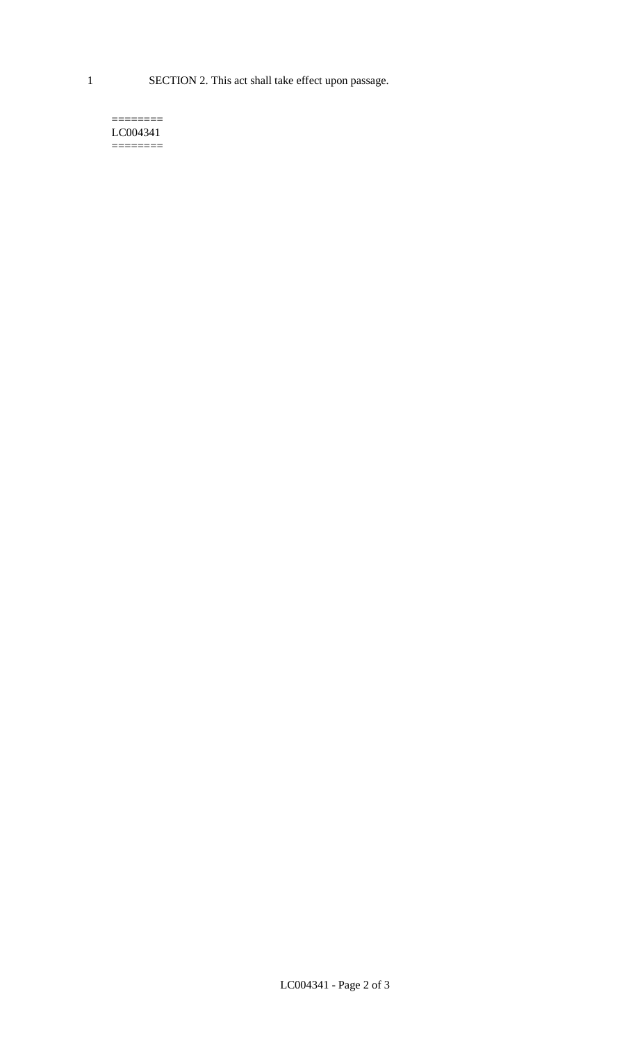1 SECTION 2. This act shall take effect upon passage.

#### $=$ LC004341  $=$